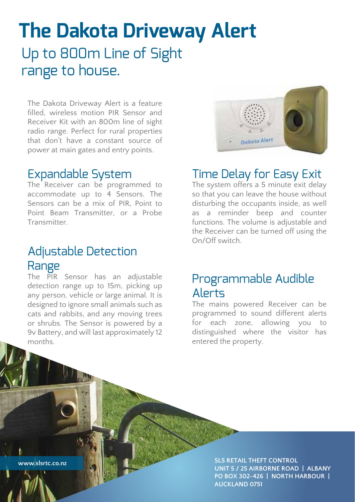# **The Dakota Driveway Alert** Up to 800m Line of Sight range to house.

The Dakota Driveway Alert is a feature filled, wireless motion PIR Sensor and Receiver Kit with an 800m line of sight radio range. Perfect for rural properties that don't have a constant source of power at main gates and entry points.

# Expandable System

The Receiver can be programmed to accommodate up to 4 Sensors. The Sensors can be a mix of PIR, Point to Point Beam Transmitter, or a Probe **Transmitter** 

# Adjustable Detection Range

The PIR Sensor has an adjustable detection range up to 15m, picking up any person, vehicle or large animal. It is designed to ignore small animals such as cats and rabbits, and any moving trees or shrubs. The Sensor is powered by a 9v Battery, and will last approximately 12 months.



### Time Delay for Easy Exit

The system offers a 5 minute exit delay so that you can leave the house without disturbing the occupants inside, as well as a reminder beep and counter functions. The volume is adjustable and the Receiver can be turned off using the On/Off switch.

### Programmable Audible Alerts

The mains powered Receiver can be programmed to sound different alerts for each zone, allowing you to distinguished where the visitor has entered the property.

**www.slsrtc.co.nz**

**SLS RETAIL THEFT CONTROL UNIT 5 / 25 AIRBORNE ROAD | ALBANY PO BOX 302-426 | NORTH HARBOUR | AUCKLAND 0751**